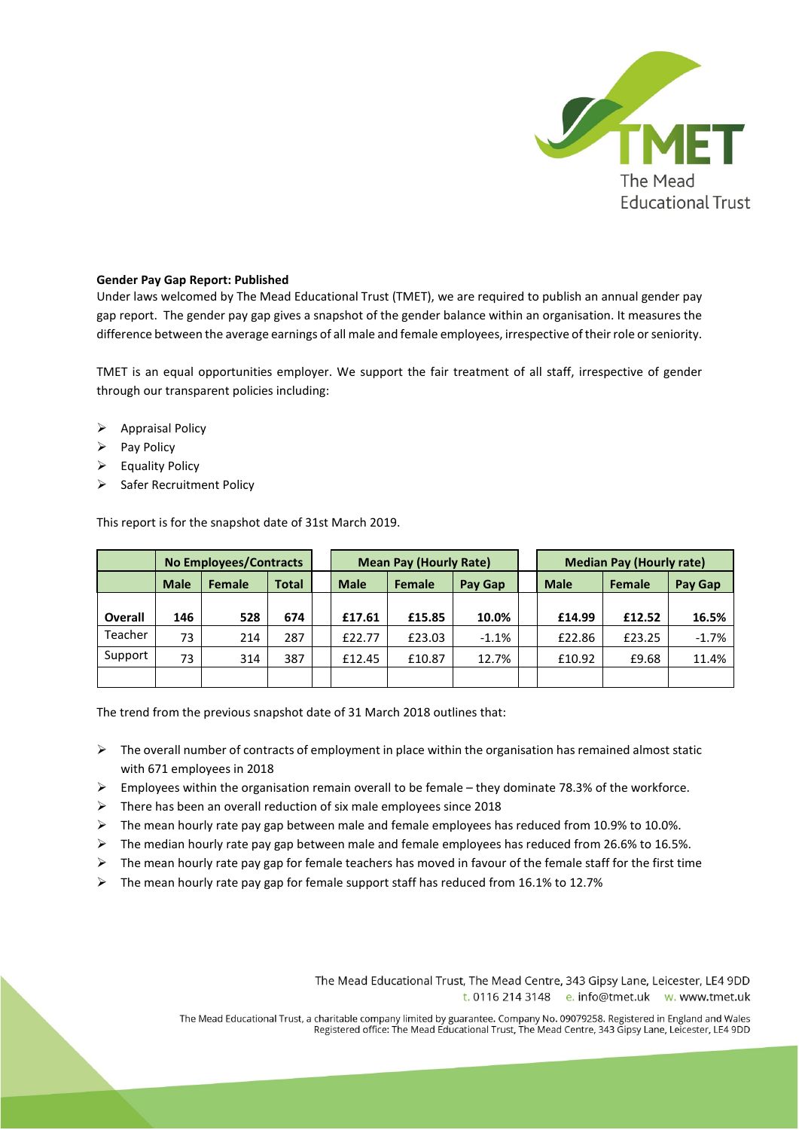

## **Gender Pay Gap Report: Published**

Under laws welcomed by The Mead Educational Trust (TMET), we are required to publish an annual gender pay gap report. The gender pay gap gives a snapshot of the gender balance within an organisation. It measures the difference between the average earnings of all male and female employees, irrespective of their role or seniority.

TMET is an equal opportunities employer. We support the fair treatment of all staff, irrespective of gender through our transparent policies including:

- $\triangleright$  Appraisal Policy
- $\triangleright$  Pay Policy
- $\triangleright$  Equality Policy
- $\triangleright$  Safer Recruitment Policy

This report is for the snapshot date of 31st March 2019.

|                | <b>No Employees/Contracts</b> |        |              | <b>Mean Pay (Hourly Rate)</b> |               |         | <b>Median Pay (Hourly rate)</b> |               |         |
|----------------|-------------------------------|--------|--------------|-------------------------------|---------------|---------|---------------------------------|---------------|---------|
|                | <b>Male</b>                   | Female | <b>Total</b> | <b>Male</b>                   | <b>Female</b> | Pay Gap | <b>Male</b>                     | <b>Female</b> | Pay Gap |
|                |                               |        |              |                               |               |         |                                 |               |         |
| <b>Overall</b> | 146                           | 528    | 674          | £17.61                        | £15.85        | 10.0%   | £14.99                          | £12.52        | 16.5%   |
| Teacher        | 73                            | 214    | 287          | £22.77                        | £23.03        | $-1.1%$ | £22.86                          | £23.25        | $-1.7%$ |
| Support        | 73                            | 314    | 387          | £12.45                        | £10.87        | 12.7%   | £10.92                          | £9.68         | 11.4%   |
|                |                               |        |              |                               |               |         |                                 |               |         |

The trend from the previous snapshot date of 31 March 2018 outlines that:

- $\triangleright$  The overall number of contracts of employment in place within the organisation has remained almost static with 671 employees in 2018
- $\triangleright$  Employees within the organisation remain overall to be female they dominate 78.3% of the workforce.
- $\triangleright$  There has been an overall reduction of six male employees since 2018
- $\triangleright$  The mean hourly rate pay gap between male and female employees has reduced from 10.9% to 10.0%.
- $\triangleright$  The median hourly rate pay gap between male and female employees has reduced from 26.6% to 16.5%.
- $\triangleright$  The mean hourly rate pay gap for female teachers has moved in favour of the female staff for the first time
- $\triangleright$  The mean hourly rate pay gap for female support staff has reduced from 16.1% to 12.7%

The Mead Educational Trust, The Mead Centre, 343 Gipsy Lane, Leicester, LE4 9DD t. 0116 214 3148 e. info@tmet.uk w. www.tmet.uk

The Mead Educational Trust, a charitable company limited by guarantee. Company No. 09079258. Registered in England and Wales<br>Registered office: The Mead Educational Trust, The Mead Centre, 343 Gipsy Lane, Leicester, LE4 9D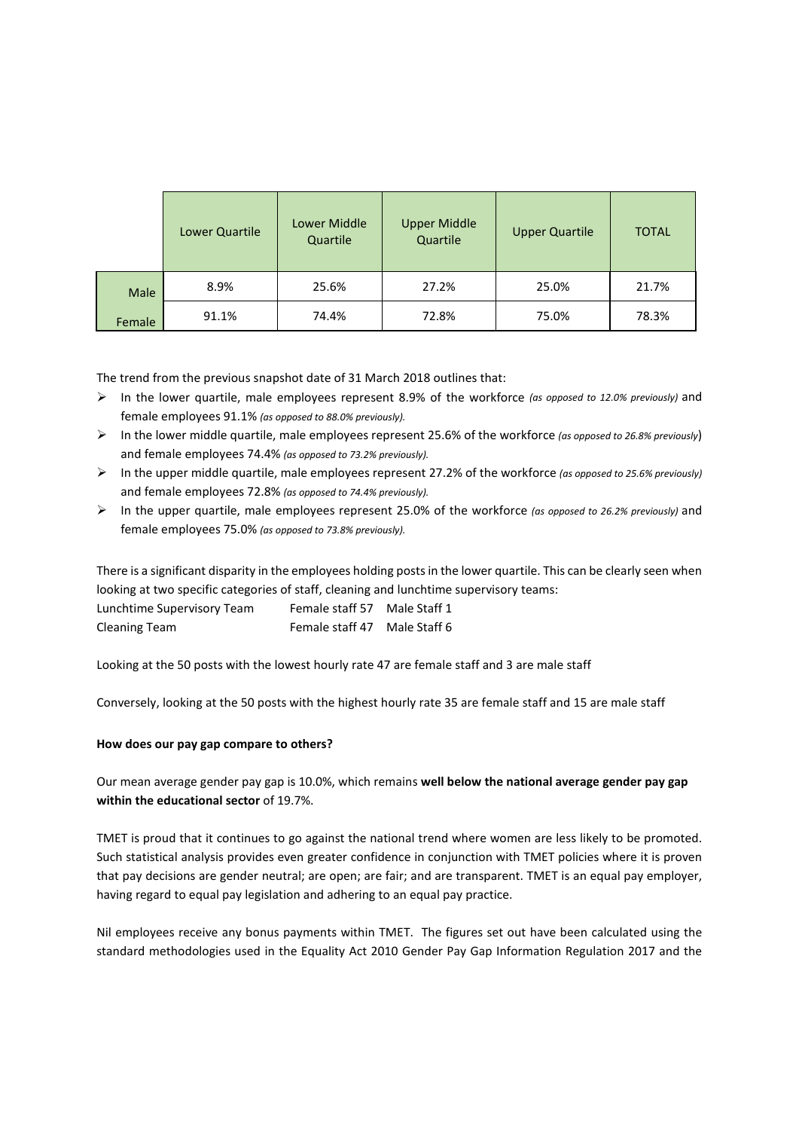|        | Lower Quartile | Lower Middle<br>Quartile | <b>Upper Middle</b><br>Quartile | <b>Upper Quartile</b> | <b>TOTAL</b> |
|--------|----------------|--------------------------|---------------------------------|-----------------------|--------------|
| Male   | 8.9%           | 25.6%                    | 27.2%                           | 25.0%                 | 21.7%        |
| Female | 91.1%          | 74.4%                    | 72.8%                           | 75.0%                 | 78.3%        |

The trend from the previous snapshot date of 31 March 2018 outlines that:

- In the lower quartile, male employees represent 8.9% of the workforce *(as opposed to 12.0% previously)* and female employees 91.1% *(as opposed to 88.0% previously).*
- In the lower middle quartile, male employees represent 25.6% of the workforce *(as opposed to 26.8% previously*) and female employees 74.4% *(as opposed to 73.2% previously).*
- In the upper middle quartile, male employees represent 27.2% of the workforce *(as opposed to 25.6% previously)*  and female employees 72.8% *(as opposed to 74.4% previously).*
- In the upper quartile, male employees represent 25.0% of the workforce *(as opposed to 26.2% previously)* and female employees 75.0% *(as opposed to 73.8% previously).*

There is a significant disparity in the employees holding posts in the lower quartile. This can be clearly seen when looking at two specific categories of staff, cleaning and lunchtime supervisory teams:

| Lunchtime Supervisory Team | Female staff 57 | Male Staff 1 |
|----------------------------|-----------------|--------------|
| <b>Cleaning Team</b>       | Female staff 47 | Male Staff 6 |

Looking at the 50 posts with the lowest hourly rate 47 are female staff and 3 are male staff

Conversely, looking at the 50 posts with the highest hourly rate 35 are female staff and 15 are male staff

## **How does our pay gap compare to others?**

# Our mean average gender pay gap is 10.0%, which remains **well below the national average gender pay gap within the educational sector** of 19.7%.

TMET is proud that it continues to go against the national trend where women are less likely to be promoted. Such statistical analysis provides even greater confidence in conjunction with TMET policies where it is proven that pay decisions are gender neutral; are open; are fair; and are transparent. TMET is an equal pay employer, having regard to equal pay legislation and adhering to an equal pay practice.

Nil employees receive any bonus payments within TMET. The figures set out have been calculated using the standard methodologies used in the Equality Act 2010 Gender Pay Gap Information Regulation 2017 and the